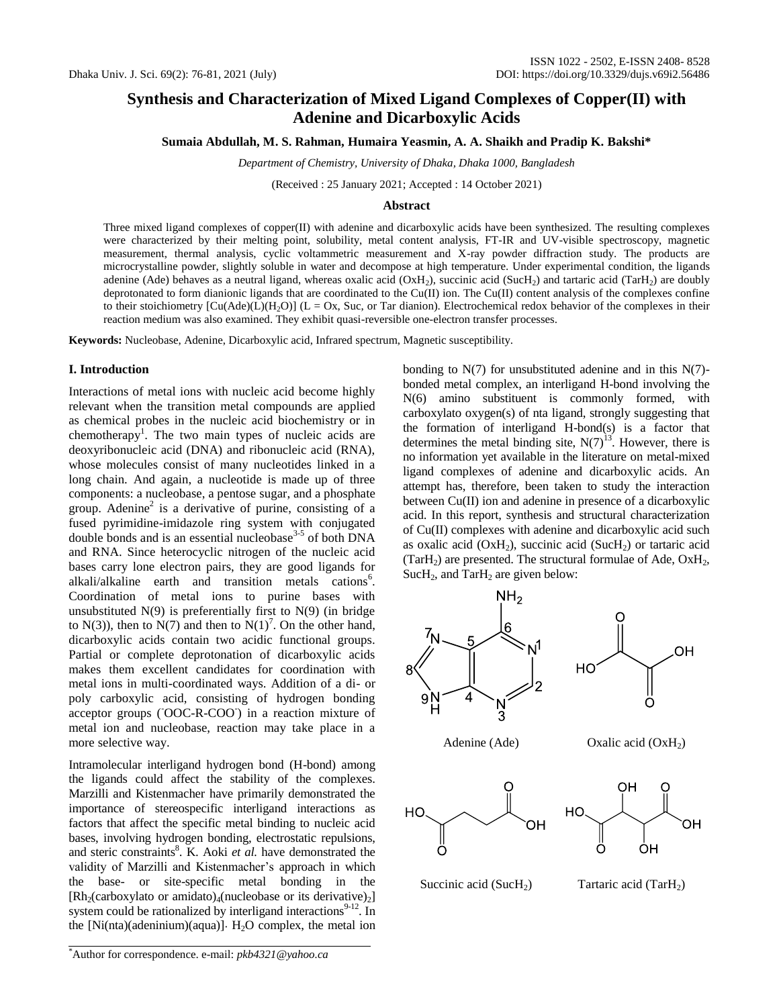# **Synthesis and Characterization of Mixed Ligand Complexes of Copper(II) with Adenine and Dicarboxylic Acids**

**Sumaia Abdullah, M. S. Rahman, Humaira Yeasmin, A. A. Shaikh and Pradip K. Bakshi\***

*Department of Chemistry, University of Dhaka, Dhaka 1000, Bangladesh*

(Received : 25 January 2021; Accepted : 14 October 2021)

#### **Abstract**

Three mixed ligand complexes of copper(II) with adenine and dicarboxylic acids have been synthesized. The resulting complexes were characterized by their melting point, solubility, metal content analysis, FT-IR and UV-visible spectroscopy, magnetic measurement, thermal analysis, cyclic voltammetric measurement and X-ray powder diffraction study. The products are microcrystalline powder, slightly soluble in water and decompose at high temperature. Under experimental condition, the ligands adenine (Ade) behaves as a neutral ligand, whereas oxalic acid  $(OxH_2)$ , succinic acid (SucH<sub>2</sub>) and tartaric acid (TarH<sub>2</sub>) are doubly deprotonated to form dianionic ligands that are coordinated to the Cu(II) ion. The Cu(II) content analysis of the complexes confine to their stoichiometry  $[Cu(Ade)(L)(H_2O)]$  (L = Ox, Suc, or Tar dianion). Electrochemical redox behavior of the complexes in their reaction medium was also examined. They exhibit quasi-reversible one-electron transfer processes.

**Keywords:** Nucleobase, Adenine, Dicarboxylic acid, Infrared spectrum, Magnetic susceptibility.

# **I. Introduction**

Interactions of metal ions with nucleic acid become highly relevant when the transition metal compounds are applied as chemical probes in the nucleic acid biochemistry or in chemotherapy<sup>1</sup>. The two main types of nucleic acids are deoxyribonucleic acid (DNA) and ribonucleic acid (RNA), whose molecules consist of many nucleotides linked in a long chain. And again, a nucleotide is made up of three components: a nucleobase, a pentose sugar, and a phosphate group. Adenine<sup>2</sup> is a derivative of purine, consisting of a fused pyrimidine-imidazole ring system with conjugated double bonds and is an essential nucleobase<sup>3-5</sup> of both DNA and RNA. Since heterocyclic nitrogen of the nucleic acid bases carry lone electron pairs, they are good ligands for alkali/alkaline earth and transition metals cations<sup>6</sup>. Coordination of metal ions to purine bases with unsubstituted  $N(9)$  is preferentially first to  $N(9)$  (in bridge to N(3)), then to N(7) and then to N(1)<sup>7</sup>. On the other hand, dicarboxylic acids contain two acidic functional groups. Partial or complete deprotonation of dicarboxylic acids makes them excellent candidates for coordination with metal ions in multi-coordinated ways. Addition of a di- or poly carboxylic acid, consisting of hydrogen bonding acceptor groups (OOC-R-COO) in a reaction mixture of metal ion and nucleobase, reaction may take place in a more selective way.

Intramolecular interligand hydrogen bond (H-bond) among the ligands could affect the stability of the complexes. Marzilli and Kistenmacher have primarily demonstrated the importance of stereospecific interligand interactions as factors that affect the specific metal binding to nucleic acid bases, involving hydrogen bonding, electrostatic repulsions, and steric constraints<sup>8</sup>. K. Aoki *et al.* have demonstrated the validity of Marzilli and Kistenmacher's approach in which the base- or site-specific metal bonding in the  $[Rh_2(carboxylato or amidato)_4(nucleobase or its derivative)_2]$ system could be rationalized by interligand interactions $9-12$ . In the  $[Ni(nta)(adeninium)(aqua)]$ . H<sub>2</sub>O complex, the metal ion

\*Author for correspondence. e-mail: *pkb4321@yahoo.ca*

bonding to  $N(7)$  for unsubstituted adenine and in this  $N(7)$ bonded metal complex, an interligand H-bond involving the N(6) amino substituent is commonly formed, with carboxylato oxygen(s) of nta ligand, strongly suggesting that the formation of interligand H-bond(s) is a factor that determines the metal binding site,  $N(7)^{13}$ . However, there is no information yet available in the literature on metal-mixed ligand complexes of adenine and dicarboxylic acids. An attempt has, therefore, been taken to study the interaction between Cu(II) ion and adenine in presence of a dicarboxylic acid. In this report, synthesis and structural characterization of Cu(II) complexes with adenine and dicarboxylic acid such as oxalic acid ( $OxH_2$ ), succinic acid ( $SucH_2$ ) or tartaric acid (Tar $H_2$ ) are presented. The structural formulae of Ade, Ox $H_2$ , SucH<sub>2</sub>, and TarH<sub>2</sub> are given below:

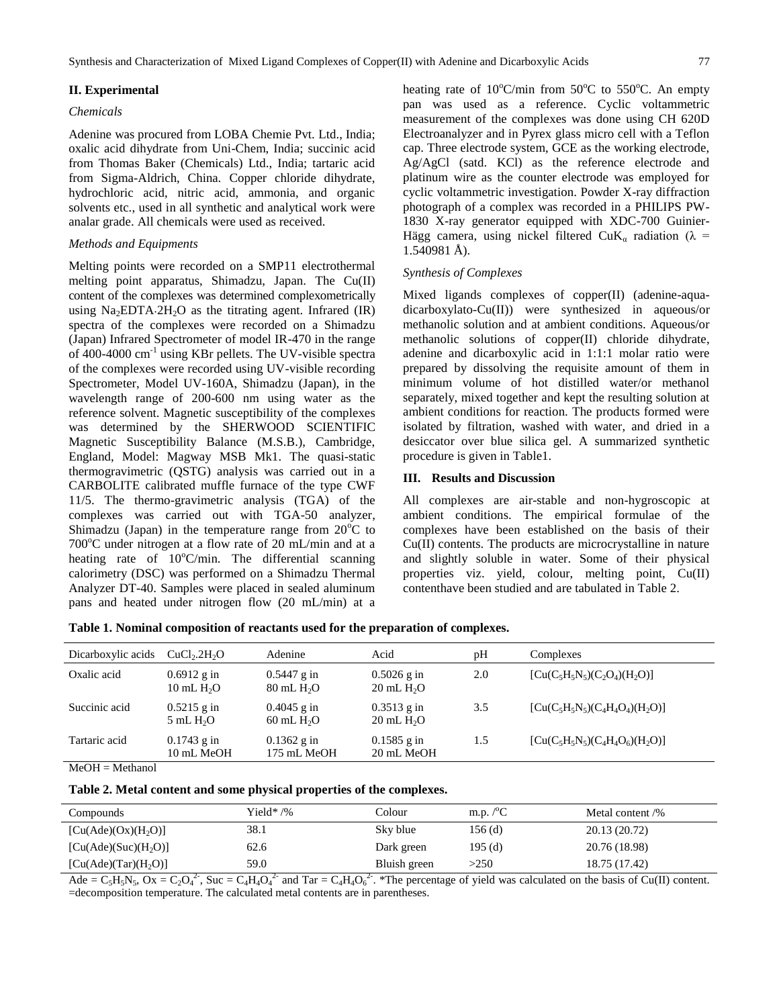## **II. Experimental**

## *Chemicals*

Adenine was procured from LOBA Chemie Pvt. Ltd., India; oxalic acid dihydrate from Uni-Chem, India; succinic acid from Thomas Baker (Chemicals) Ltd., India; tartaric acid from Sigma-Aldrich, China. Copper chloride dihydrate, hydrochloric acid, nitric acid, ammonia, and organic solvents etc., used in all synthetic and analytical work were analar grade. All chemicals were used as received.

# *Methods and Equipments*

Melting points were recorded on a SMP11 electrothermal melting point apparatus, Shimadzu, Japan. The Cu(II) content of the complexes was determined complexometrically using  $Na<sub>2</sub>EDTA.2H<sub>2</sub>O$  as the titrating agent. Infrared (IR) spectra of the complexes were recorded on a Shimadzu (Japan) Infrared Spectrometer of model IR-470 in the range of 400-4000 cm-1 using KBr pellets. The UV-visible spectra of the complexes were recorded using UV-visible recording Spectrometer, Model UV-160A, Shimadzu (Japan), in the wavelength range of 200-600 nm using water as the reference solvent. Magnetic susceptibility of the complexes was determined by the SHERWOOD SCIENTIFIC Magnetic Susceptibility Balance (M.S.B.), Cambridge, England, Model: Magway MSB Mk1. The quasi-static thermogravimetric (QSTG) analysis was carried out in a CARBOLITE calibrated muffle furnace of the type CWF 11/5. The thermo-gravimetric analysis (TGA) of the complexes was carried out with TGA-50 analyzer, Shimadzu (Japan) in the temperature range from  $20^{\circ}$ C to 700°C under nitrogen at a flow rate of 20 mL/min and at a heating rate of  $10^{\circ}$ C/min. The differential scanning calorimetry (DSC) was performed on a Shimadzu Thermal Analyzer DT-40. Samples were placed in sealed aluminum pans and heated under nitrogen flow (20 mL/min) at a

heating rate of  $10^{\circ}$ C/min from  $50^{\circ}$ C to  $550^{\circ}$ C. An empty pan was used as a reference. Cyclic voltammetric measurement of the complexes was done using CH 620D Electroanalyzer and in Pyrex glass micro cell with a Teflon cap. Three electrode system, GCE as the working electrode, Ag/AgCl (satd. KCl) as the reference electrode and platinum wire as the counter electrode was employed for cyclic voltammetric investigation. Powder X-ray diffraction photograph of a complex was recorded in a PHILIPS PW-1830 X-ray generator equipped with XDC-700 Guinier-Hägg camera, using nickel filtered CuK<sub>a</sub> radiation ( $\lambda$  = 1.540981 Å).

# *Synthesis of Complexes*

Mixed ligands complexes of copper(II) (adenine-aquadicarboxylato-Cu(II)) were synthesized in aqueous/or methanolic solution and at ambient conditions. Aqueous/or methanolic solutions of copper(II) chloride dihydrate, adenine and dicarboxylic acid in 1:1:1 molar ratio were prepared by dissolving the requisite amount of them in minimum volume of hot distilled water/or methanol separately, mixed together and kept the resulting solution at ambient conditions for reaction. The products formed were isolated by filtration, washed with water, and dried in a desiccator over blue silica gel. A summarized synthetic procedure is given in Table1.

#### **III. Results and Discussion**

All complexes are air-stable and non-hygroscopic at ambient conditions. The empirical formulae of the complexes have been established on the basis of their Cu(II) contents. The products are microcrystalline in nature and slightly soluble in water. Some of their physical properties viz. yield, colour, melting point, Cu(II) contenthave been studied and are tabulated in Table 2.

| Table 1. Nominal composition of reactants used for the preparation of complexes. |  |  |  |  |
|----------------------------------------------------------------------------------|--|--|--|--|
|----------------------------------------------------------------------------------|--|--|--|--|

| Dicarboxylic acids    | CuCl <sub>2</sub> .2H <sub>2</sub> O | Adenine                             | Acid                                  | pH  | Complexes                          |
|-----------------------|--------------------------------------|-------------------------------------|---------------------------------------|-----|------------------------------------|
| Oxalic acid           | $0.6912$ g in<br>10 mL $H2O$         | $0.5447$ g in<br>$80 \text{ mL H}2$ | $0.5026$ g in<br>$20 \text{ mL } H2O$ | 2.0 | $[Cu(C_5H_5N_5)(C_2O_4)(H_2O)]$    |
| Succinic acid         | $0.5215$ g in<br>$5 \text{ mL } H2O$ | $0.4045$ g in<br>$60$ mL $H2O$      | $0.3513$ g in<br>$20 \text{ mL } H2O$ | 3.5 | $[Cu(C_5H_5N_5)(C_4H_4O_4)(H_2O)]$ |
| Tartaric acid         | $0.1743$ g in<br>10 mL MeOH          | $0.1362$ g in<br>175 mL MeOH        | $0.1585$ g in<br>20 mL MeOH           | 1.5 | $[Cu(C_5H_5N_5)(C_4H_4O_6)(H_2O)]$ |
| $M_2OII = M_2$ thonal |                                      |                                     |                                       |     |                                    |

MeOH = Methanol

## **Table 2. Metal content and some physical properties of the complexes.**

| Compounds                        | Yield* /% | Colour       | m.p. $\mathcal{C}^{\circ}$ | Metal content /% |
|----------------------------------|-----------|--------------|----------------------------|------------------|
| [Cu(Ade)(Ox)(H <sub>2</sub> O)]  | 38.1      | Sky blue     | $156$ (d)                  | 20.13 (20.72)    |
| [Cu(Ade)(Suc)(H <sub>2</sub> O)] | 62.6      | Dark green   | 195(d)                     | 20.76 (18.98)    |
| [Cu(Ade)(Tar)(H <sub>2</sub> O)] | 59.0      | Bluish green | >250                       | 18.75 (17.42)    |

Ade =  $C_5H_5N_5$ , Ox =  $C_2O_4^2$ , Suc =  $C_4H_4O_4^2$  and Tar =  $C_4H_4O_6^2$ . \*The percentage of yield was calculated on the basis of Cu(II) content. =decomposition temperature. The calculated metal contents are in parentheses.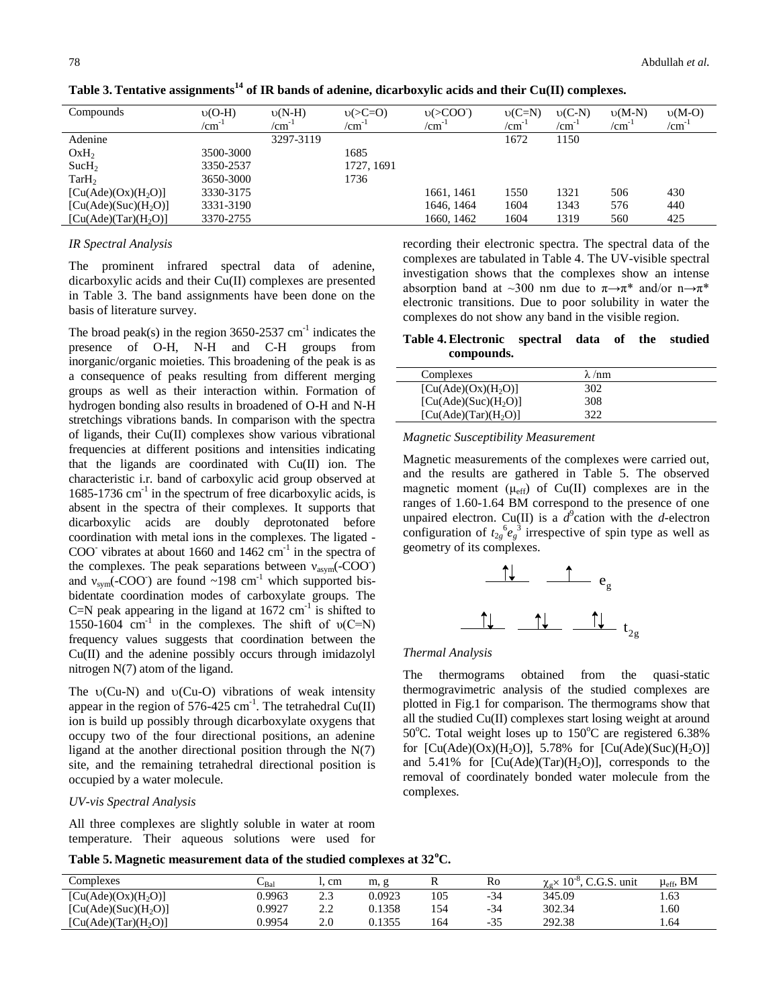| Compounds                        | $U(O-H)$   | $v(N-H)$   | $v(>=0)$   | $v( > COO-)$     | $v(C=N)$   | $v(C-N)$   | $\nu(M-N)$ | $v(M-O)$   |
|----------------------------------|------------|------------|------------|------------------|------------|------------|------------|------------|
|                                  | $/cm^{-1}$ | $/cm^{-1}$ | $/cm^{-1}$ | /cm <sup>-</sup> | $/cm^{-1}$ | $/cm^{-1}$ | $/cm^{-1}$ | $/cm^{-1}$ |
| Adenine                          |            | 3297-3119  |            |                  | 1672       | 1150       |            |            |
| OxH <sub>2</sub>                 | 3500-3000  |            | 1685       |                  |            |            |            |            |
| Such <sub>2</sub>                | 3350-2537  |            | 1727, 1691 |                  |            |            |            |            |
| TarH <sub>2</sub>                | 3650-3000  |            | 1736       |                  |            |            |            |            |
| [Cu(Ade)(Ox)(H <sub>2</sub> O)]  | 3330-3175  |            |            | 1661, 1461       | 1550       | 1321       | 506        | 430        |
| [Cu(Ade)(Suc)(H <sub>2</sub> O)] | 3331-3190  |            |            | 1646, 1464       | 1604       | 1343       | 576        | 440        |
| [Cu(Ade)(Tar)(H <sub>2</sub> O)] | 3370-2755  |            |            | 1660, 1462       | 1604       | 1319       | 560        | 425        |

**Table 3.Tentative assignments<sup>14</sup> of IR bands of adenine, dicarboxylic acids and their Cu(II) complexes.**

## *IR Spectral Analysis*

The prominent infrared spectral data of adenine, dicarboxylic acids and their Cu(II) complexes are presented in Table 3. The band assignments have been done on the basis of literature survey.

The broad peak(s) in the region  $3650-2537$  cm<sup>-1</sup> indicates the presence of O-H, N-H and C-H groups from inorganic/organic moieties. This broadening of the peak is as a consequence of peaks resulting from different merging groups as well as their interaction within. Formation of hydrogen bonding also results in broadened of O-H and N-H stretchings vibrations bands. In comparison with the spectra of ligands, their Cu(II) complexes show various vibrational frequencies at different positions and intensities indicating that the ligands are coordinated with Cu(II) ion. The characteristic i.r. band of carboxylic acid group observed at 1685-1736 cm<sup>-1</sup> in the spectrum of free dicarboxylic acids, is absent in the spectra of their complexes. It supports that dicarboxylic acids are doubly deprotonated before coordination with metal ions in the complexes. The ligated - COO<sup>-</sup> vibrates at about 1660 and 1462  $cm^{-1}$  in the spectra of the complexes. The peak separations between  $v_{\text{asym}}$ (-COO) and  $v_{sym}$ (-COO<sup>-</sup>) are found ~198 cm<sup>-1</sup> which supported bisbidentate coordination modes of carboxylate groups. The C=N peak appearing in the ligand at  $1672 \text{ cm}^{-1}$  is shifted to 1550-1604  $\text{cm}^{-1}$  in the complexes. The shift of  $\nu(\text{C=N})$ frequency values suggests that coordination between the Cu(II) and the adenine possibly occurs through imidazolyl nitrogen N(7) atom of the ligand.

The  $\upsilon$ (Cu-N) and  $\upsilon$ (Cu-O) vibrations of weak intensity appear in the region of 576-425 cm<sup>-1</sup>. The tetrahedral  $Cu(II)$ ion is build up possibly through dicarboxylate oxygens that occupy two of the four directional positions, an adenine ligand at the another directional position through the N(7) site, and the remaining tetrahedral directional position is occupied by a water molecule.

#### *UV-vis Spectral Analysis*

All three complexes are slightly soluble in water at room temperature. Their aqueous solutions were used for recording their electronic spectra. The spectral data of the complexes are tabulated in Table 4. The UV-visible spectral investigation shows that the complexes show an intense absorption band at ~300 nm due to  $\pi \rightarrow \pi^*$  and/or n $\rightarrow \pi^*$ electronic transitions. Due to poor solubility in water the complexes do not show any band in the visible region.

# **Table 4.Electronic spectral data of the studied compounds.**

| Complexes                        | $\lambda$ /nm |  |
|----------------------------------|---------------|--|
| [Cu(Ade)(Ox)(H <sub>2</sub> O)]  | 302           |  |
| [Cu(Ade)(Suc)(H <sub>2</sub> O)] | 308           |  |
| [Cu(Ade)(Tar)(H <sub>2</sub> O)] |               |  |

#### *Magnetic Susceptibility Measurement*

Magnetic measurements of the complexes were carried out, and the results are gathered in Table 5. The observed magnetic moment ( $\mu_{eff}$ ) of Cu(II) complexes are in the ranges of 1.60-1.64 BM correspond to the presence of one unpaired electron. Cu(II) is a  $d^9$  cation with the *d*-electron configuration of  $t_{2g}^6 e_g^3$  irrespective of spin type as well as geometry of its complexes.



#### *Thermal Analysis*

The thermograms obtained from the quasi-static thermogravimetric analysis of the studied complexes are plotted in Fig.1 for comparison. The thermograms show that all the studied Cu(II) complexes start losing weight at around 50°C. Total weight loses up to  $150^{\circ}$ C are registered 6.38% for  $\lbrack Cu(Ade)(Ox)(H_2O) \rbrack$ , 5.78% for  $\lbrack Cu(Ade)(Suc)(H_2O) \rbrack$ and  $5.41\%$  for  $[Cu(Ade)(Tar)(H<sub>2</sub>O)],$  corresponds to the removal of coordinately bonded water molecule from the complexes.

**Table 5. Magnetic measurement data of the studied complexes at 32<sup>o</sup>C.**

| Complexes                        | $\cup$ Bal | cm  | m, g   | ĸ   | Ro    | $10^{-8}$<br>C.G.S.<br>unit<br>$\chi_{\alpha} \chi$ | $\mu_{\text{eff}}$ , BM |
|----------------------------------|------------|-----|--------|-----|-------|-----------------------------------------------------|-------------------------|
| [Cu(Ade)(Ox)(H <sub>2</sub> O)]  | 0.9963     | 2.3 | 0.0923 | 105 | $-34$ | 345.09                                              | 1.63                    |
| [Cu(Ade)(Suc)(H <sub>2</sub> O)] | 0.9927     | ററ  | 1.1358 | 154 | $-34$ | 302.34                                              | 1.60                    |
| [Cu(Ade)(Tar)(H <sub>2</sub> O)] | 0.9954     | 2.0 | 1355   | 164 | $-35$ | 292.38                                              | 1.64                    |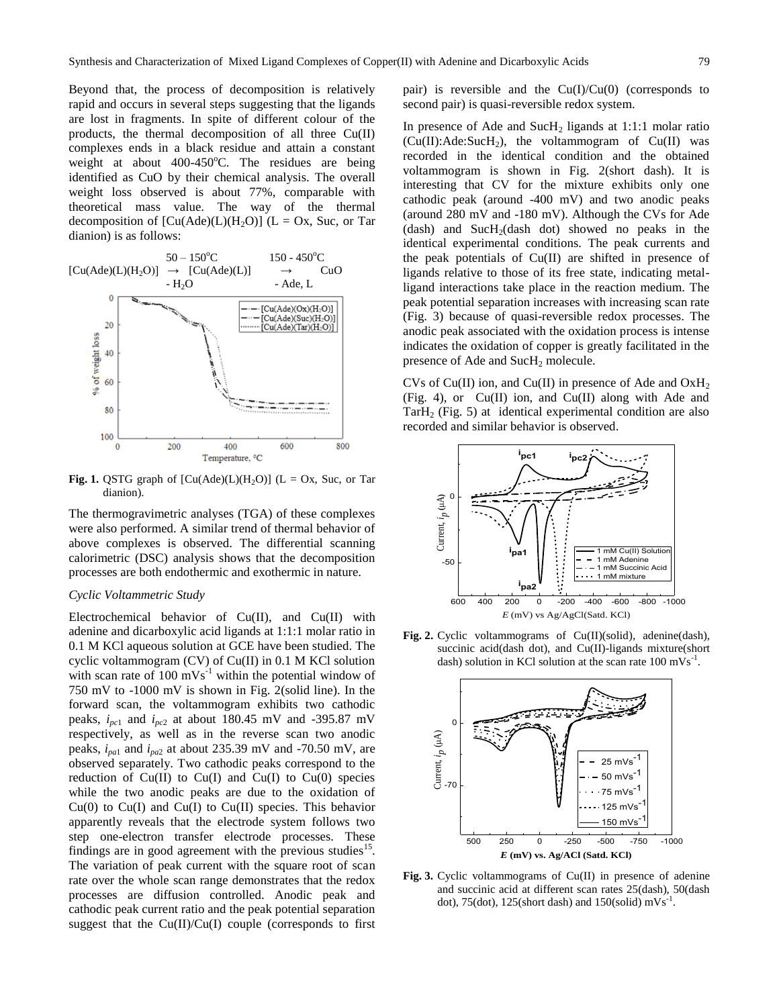Beyond that, the process of decomposition is relatively rapid and occurs in several steps suggesting that the ligands are lost in fragments. In spite of different colour of the products, the thermal decomposition of all three Cu(II) complexes ends in a black residue and attain a constant weight at about  $400-450^{\circ}$ C. The residues are being identified as CuO by their chemical analysis. The overall weight loss observed is about 77%, comparable with theoretical mass value. The way of the thermal decomposition of  $[Cu(Ade)(L)(H_2O)]$  (L = Ox, Suc, or Tar dianion) is as follows:



**Fig. 1.** QSTG graph of  $[Cu(Ade)(L)(H_2O)]$  ( $L = Ox$ , Suc, or Tar dianion).

The thermogravimetric analyses (TGA) of these complexes were also performed. A similar trend of thermal behavior of above complexes is observed. The differential scanning calorimetric (DSC) analysis shows that the decomposition processes are both endothermic and exothermic in nature.

## *Cyclic Voltammetric Study*

Electrochemical behavior of Cu(II), and Cu(II) with adenine and dicarboxylic acid ligands at 1:1:1 molar ratio in 0.1 M KCl aqueous solution at GCE have been studied. The cyclic voltammogram (CV) of Cu(II) in 0.1 M KCl solution with scan rate of  $100 \text{ mVs}^{-1}$  within the potential window of 750 mV to -1000 mV is shown in Fig. 2(solid line). In the forward scan, the voltammogram exhibits two cathodic peaks,  $i_{pc1}$  and  $i_{pc2}$  at about 180.45 mV and -395.87 mV respectively, as well as in the reverse scan two anodic peaks, *ipa*<sup>1</sup> and *ipa*<sup>2</sup> at about 235.39 mV and -70.50 mV, are observed separately. Two cathodic peaks correspond to the reduction of  $Cu(II)$  to  $Cu(I)$  and  $Cu(I)$  to  $Cu(0)$  species while the two anodic peaks are due to the oxidation of  $Cu(0)$  to  $Cu(I)$  and  $Cu(I)$  to  $Cu(II)$  species. This behavior apparently reveals that the electrode system follows two step one-electron transfer electrode processes. These findings are in good agreement with the previous studies $15$ . The variation of peak current with the square root of scan rate over the whole scan range demonstrates that the redox processes are diffusion controlled. Anodic peak and cathodic peak current ratio and the peak potential separation suggest that the  $Cu(II)/Cu(I)$  couple (corresponds to first

pair) is reversible and the  $Cu(I)/Cu(0)$  (corresponds to second pair) is quasi-reversible redox system.

In presence of Ade and  $SucH_2$  ligands at 1:1:1 molar ratio  $(Cu(II):Ade:SucH<sub>2</sub>)$ , the voltammogram of  $Cu(II)$  was recorded in the identical condition and the obtained voltammogram is shown in Fig. 2(short dash). It is interesting that CV for the mixture exhibits only one cathodic peak (around -400 mV) and two anodic peaks (around 280 mV and -180 mV). Although the CVs for Ade  $(dash)$  and  $Such2(dash dot)$  showed no peaks in the identical experimental conditions. The peak currents and the peak potentials of  $Cu(II)$  are shifted in presence of ligands relative to those of its free state, indicating metalligand interactions take place in the reaction medium. The peak potential separation increases with increasing scan rate (Fig. 3) because of quasi-reversible redox processes. The anodic peak associated with the oxidation process is intense indicates the oxidation of copper is greatly facilitated in the presence of Ade and SucH<sub>2</sub> molecule.

CVs of Cu(II) ion, and Cu(II) in presence of Ade and  $OxH<sub>2</sub>$ (Fig. 4), or Cu(II) ion, and Cu(II) along with Ade and  $TarH<sub>2</sub>$  (Fig. 5) at identical experimental condition are also recorded and similar behavior is observed.



**Fig. 2.** Cyclic voltammograms of Cu(II)(solid), adenine(dash), succinic acid(dash dot), and Cu(II)-ligands mixture(short dash) solution in KCl solution at the scan rate  $100 \text{ mVs}^{-1}$ .



**Fig. 3.** Cyclic voltammograms of Cu(II) in presence of adenine and succinic acid at different scan rates 25(dash), 50(dash dot), 75(dot), 125(short dash) and 150(solid)  $mVs^{-1}$ .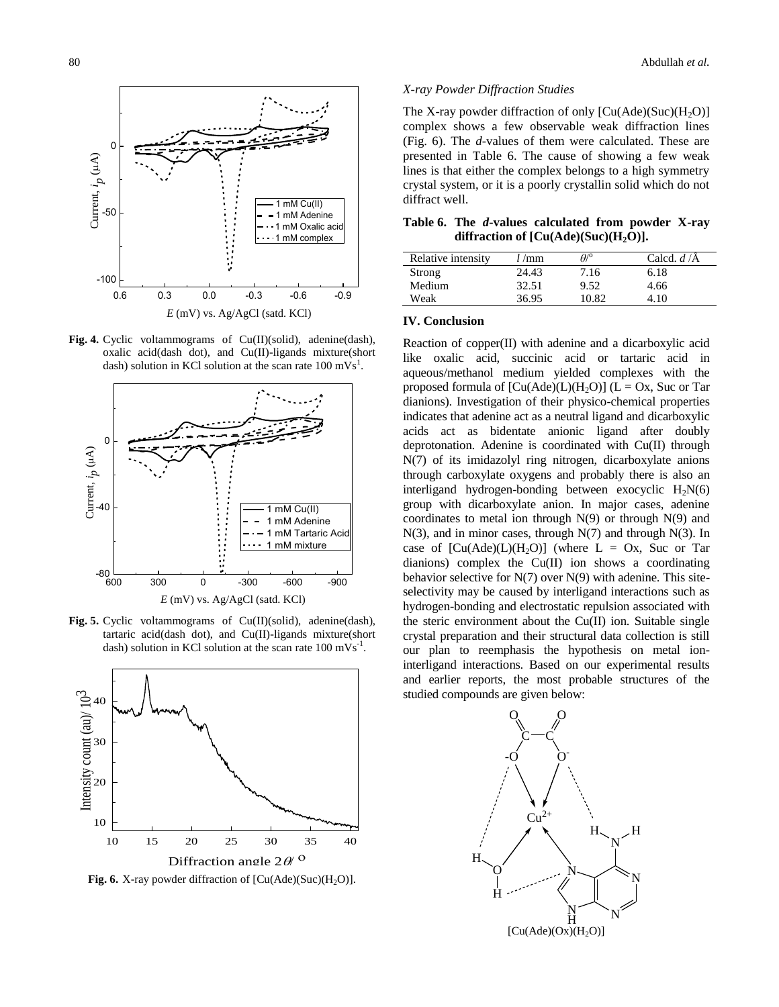

**Fig. 4.** Cyclic voltammograms of Cu(II)(solid), adenine(dash), oxalic acid(dash dot), and Cu(II)-ligands mixture(short dash) solution in KCl solution at the scan rate  $100 \text{ mVs}^1$ .



Fig. 5. Cyclic voltammograms of Cu(II)(solid), adenine(dash), tartaric acid(dash dot), and Cu(II)-ligands mixture(short dash) solution in KCl solution at the scan rate  $100 \text{ mVs}^{-1}$ .



**Fig. 6.** X-ray powder diffraction of  $\text{[Cu(Ade)(Suc)(H<sub>2</sub>O)]}.$ 

#### *X-ray Powder Diffraction Studies*

The X-ray powder diffraction of only  $[Cu(Ade)(Suc)(H_2O)]$ complex shows a few observable weak diffraction lines (Fig. 6). The *d*-values of them were calculated. These are presented in Table 6. The cause of showing a few weak lines is that either the complex belongs to a high symmetry crystal system, or it is a poorly crystallin solid which do not diffract well.

**Table 6. The** *d***-values calculated from powder X-ray diffraction of [Cu(Ade)(Suc)(H2O)].**

| Relative intensity | $l$ /mm | $A$ <sup>o</sup> | Calcd. $d/\text{A}$ |
|--------------------|---------|------------------|---------------------|
| Strong             | 24.43   | 7.16             | 6.18                |
| Medium             | 32.51   | 9.52             | 4.66                |
| Weak               | 36.95   | 10.82            | 4.10                |

## **IV. Conclusion**

Reaction of copper(II) with adenine and a dicarboxylic acid like oxalic acid, succinic acid or tartaric acid in aqueous/methanol medium yielded complexes with the proposed formula of  $[Cu(Ade)(L)(H_2O)]$  (L = Ox, Suc or Tar dianions). Investigation of their physico-chemical properties indicates that adenine act as a neutral ligand and dicarboxylic acids act as bidentate anionic ligand after doubly deprotonation. Adenine is coordinated with Cu(II) through N(7) of its imidazolyl ring nitrogen, dicarboxylate anions through carboxylate oxygens and probably there is also an interligand hydrogen-bonding between exocyclic  $H_2N(6)$ group with dicarboxylate anion. In major cases, adenine coordinates to metal ion through  $N(9)$  or through  $N(9)$  and N(3), and in minor cases, through N(7) and through N(3). In case of  $[Cu(Ade)(L)(H<sub>2</sub>O)]$  (where  $L = Ox$ , Suc or Tar dianions) complex the Cu(II) ion shows a coordinating behavior selective for  $N(7)$  over  $N(9)$  with adenine. This siteselectivity may be caused by interligand interactions such as hydrogen-bonding and electrostatic repulsion associated with the steric environment about the Cu(II) ion. Suitable single crystal preparation and their structural data collection is still our plan to reemphasis the hypothesis on metal ioninterligand interactions. Based on our experimental results and earlier reports, the most probable structures of the studied compounds are given below: